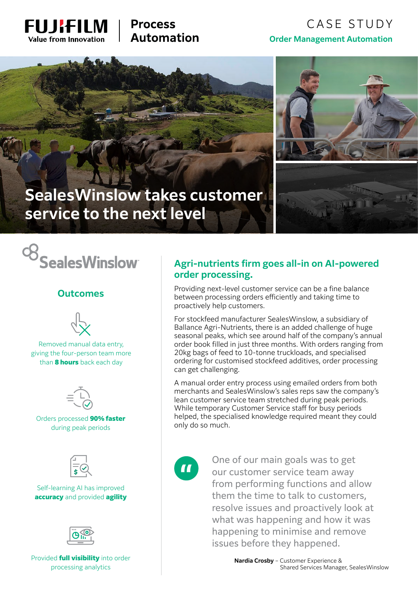

# **Process Automation**

# CASE STUDY **Order Management Automation**



# **SealesWinslow takes customer service to the next level**

c<sub>8</sub><br>SealesWinslow

#### **Outcomes**



Removed manual data entry, giving the four-person team more than **8 hours** back each day



Orders processed 90% faster during peak periods



Self-learning AI has improved accuracy and provided agility



Provided **full visibility** into order processing analytics

# **Agri-nutrients firm goes all-in on AI-powered order processing.**

Providing next-level customer service can be a fine balance between processing orders efficiently and taking time to proactively help customers.

For stockfeed manufacturer SealesWinslow, a subsidiary of Ballance Agri-Nutrients, there is an added challenge of huge seasonal peaks, which see around half of the company's annual order book filled in just three months. With orders ranging from 20kg bags of feed to 10-tonne truckloads, and specialised ordering for customised stockfeed additives, order processing can get challenging.

A manual order entry process using emailed orders from both merchants and SealesWinslow's sales reps saw the company's lean customer service team stretched during peak periods. While temporary Customer Service staff for busy periods helped, the specialised knowledge required meant they could only do so much.

 $\blacksquare$ 

One of our main goals was to get our customer service team away from performing functions and allow them the time to talk to customers, resolve issues and proactively look at what was happening and how it was happening to minimise and remove issues before they happened.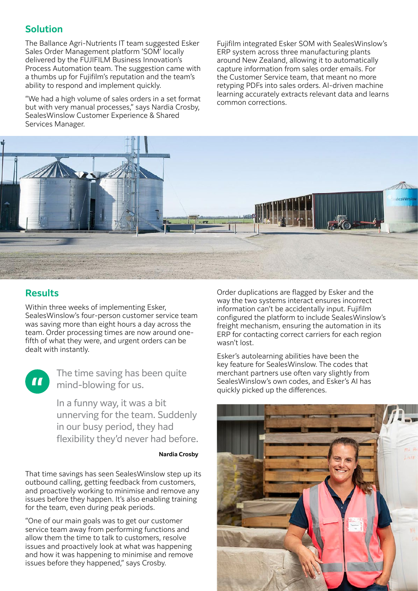# **Solution**

The Ballance Agri-Nutrients IT team suggested Esker Sales Order Management platform 'SOM' locally delivered by the FUJIFILM Business Innovation's Process Automation team. The suggestion came with a thumbs up for Fujifilm's reputation and the team's ability to respond and implement quickly.

"We had a high volume of sales orders in a set format but with very manual processes," says Nardia Crosby, SealesWinslow Customer Experience & Shared Services Manager.

Fujifilm integrated Esker SOM with SealesWinslow's ERP system across three manufacturing plants around New Zealand, allowing it to automatically capture information from sales order emails. For the Customer Service team, that meant no more retyping PDFs into sales orders. AI-driven machine learning accurately extracts relevant data and learns common corrections.



### **Results**

Within three weeks of implementing Esker, SealesWinslow's four-person customer service team was saving more than eight hours a day across the team. Order processing times are now around onefifth of what they were, and urgent orders can be dealt with instantly.



The time saving has been quite mind-blowing for us.

In a funny way, it was a bit unnerving for the team. Suddenly in our busy period, they had flexibility they'd never had before.

**Nardia Crosby**

That time savings has seen SealesWinslow step up its outbound calling, getting feedback from customers, and proactively working to minimise and remove any issues before they happen. It's also enabling training for the team, even during peak periods.

"One of our main goals was to get our customer service team away from performing functions and allow them the time to talk to customers, resolve issues and proactively look at what was happening and how it was happening to minimise and remove issues before they happened," says Crosby.

Order duplications are flagged by Esker and the way the two systems interact ensures incorrect information can't be accidentally input. Fujifilm configured the platform to include SealesWinslow's freight mechanism, ensuring the automation in its ERP for contacting correct carriers for each region wasn't lost.

Esker's autolearning abilities have been the key feature for SealesWinslow. The codes that merchant partners use often vary slightly from SealesWinslow's own codes, and Esker's AI has quickly picked up the differences.